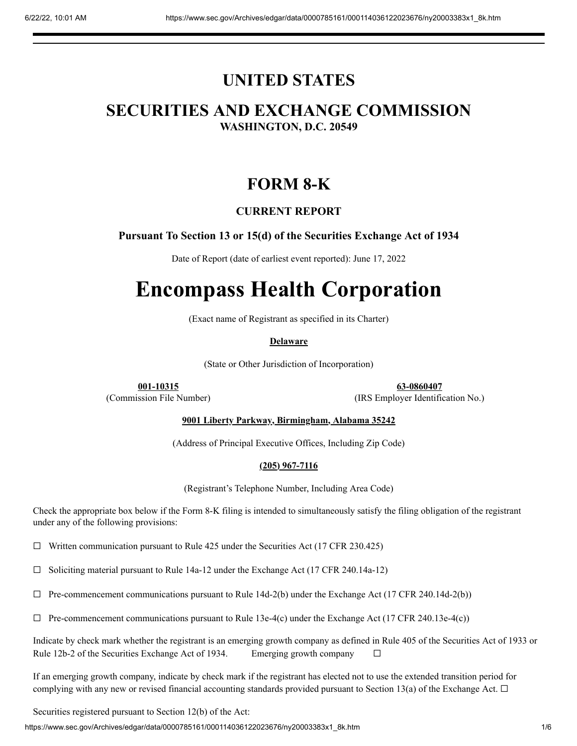## **UNITED STATES**

## **SECURITIES AND EXCHANGE COMMISSION WASHINGTON, D.C. 20549**

## **FORM 8-K**

### **CURRENT REPORT**

### **Pursuant To Section 13 or 15(d) of the Securities Exchange Act of 1934**

Date of Report (date of earliest event reported): June 17, 2022

# **Encompass Health Corporation**

(Exact name of Registrant as specified in its Charter)

### **Delaware**

(State or Other Jurisdiction of Incorporation)

**001-10315 63-0860407** (Commission File Number) (IRS Employer Identification No.)

### **9001 Liberty Parkway, Birmingham, Alabama 35242**

(Address of Principal Executive Offices, Including Zip Code)

### **(205) 967-7116**

(Registrant's Telephone Number, Including Area Code)

Check the appropriate box below if the Form 8-K filing is intended to simultaneously satisfy the filing obligation of the registrant under any of the following provisions:

 $\Box$  Written communication pursuant to Rule 425 under the Securities Act (17 CFR 230.425)

☐ Soliciting material pursuant to Rule 14a-12 under the Exchange Act (17 CFR 240.14a-12)

☐ Pre-commencement communications pursuant to Rule 14d-2(b) under the Exchange Act (17 CFR 240.14d-2(b))

 $\Box$  Pre-commencement communications pursuant to Rule 13e-4(c) under the Exchange Act (17 CFR 240.13e-4(c))

Indicate by check mark whether the registrant is an emerging growth company as defined in Rule 405 of the Securities Act of 1933 or Rule 12b-2 of the Securities Exchange Act of 1934. Emerging growth company  $\Box$ 

If an emerging growth company, indicate by check mark if the registrant has elected not to use the extended transition period for complying with any new or revised financial accounting standards provided pursuant to Section 13(a) of the Exchange Act.  $\Box$ 

Securities registered pursuant to Section 12(b) of the Act:

https://www.sec.gov/Archives/edgar/data/0000785161/000114036122023676/ny20003383x1\_8k.htm 1/6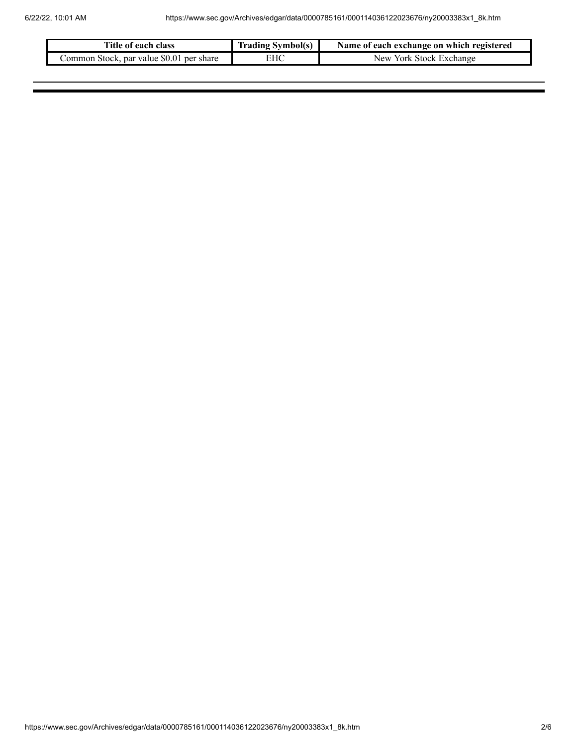| Title of each class                      | <b>Trading Symbol(s)</b> | Name of each exchange on which registered |
|------------------------------------------|--------------------------|-------------------------------------------|
| Common Stock, par value \$0.01 per share | EHC                      | New York Stock Exchange                   |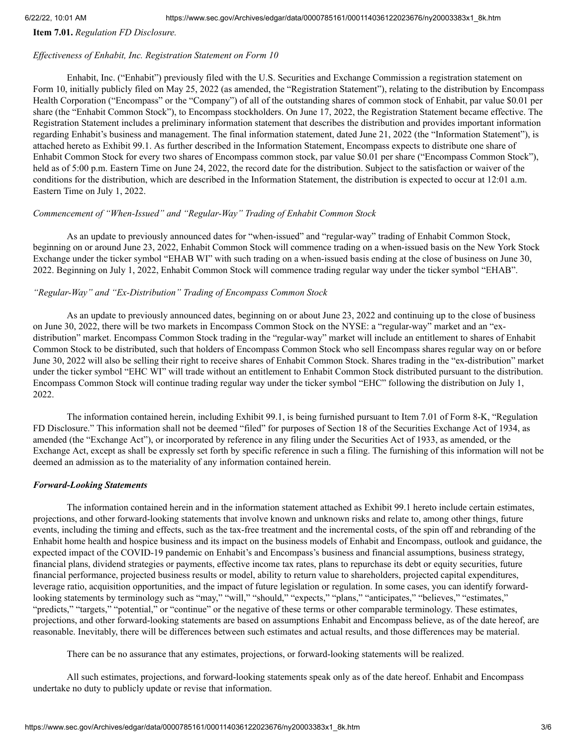**Item 7.01.** *Regulation FD Disclosure.*

### *Ef ectiveness of Enhabit, Inc. Registration Statement on Form 10*

Enhabit, Inc. ("Enhabit") previously filed with the U.S. Securities and Exchange Commission a registration statement on Form 10, initially publicly filed on May 25, 2022 (as amended, the "Registration Statement"), relating to the distribution by Encompass Health Corporation ("Encompass" or the "Company") of all of the outstanding shares of common stock of Enhabit, par value \$0.01 per share (the "Enhabit Common Stock"), to Encompass stockholders. On June 17, 2022, the Registration Statement became effective. The Registration Statement includes a preliminary information statement that describes the distribution and provides important information regarding Enhabit's business and management. The final information statement, dated June 21, 2022 (the "Information Statement"), is attached hereto as Exhibit 99.1. As further described in the Information Statement, Encompass expects to distribute one share of Enhabit Common Stock for every two shares of Encompass common stock, par value \$0.01 per share ("Encompass Common Stock"), held as of 5:00 p.m. Eastern Time on June 24, 2022, the record date for the distribution. Subject to the satisfaction or waiver of the conditions for the distribution, which are described in the Information Statement, the distribution is expected to occur at 12:01 a.m. Eastern Time on July 1, 2022.

### *Commencement of "When-Issued" and "Regular-Way" Trading of Enhabit Common Stock*

As an update to previously announced dates for "when-issued" and "regular-way" trading of Enhabit Common Stock, beginning on or around June 23, 2022, Enhabit Common Stock will commence trading on a when-issued basis on the New York Stock Exchange under the ticker symbol "EHAB WI" with such trading on a when-issued basis ending at the close of business on June 30, 2022. Beginning on July 1, 2022, Enhabit Common Stock will commence trading regular way under the ticker symbol "EHAB".

### *"Regular-Way" and "Ex-Distribution" Trading of Encompass Common Stock*

As an update to previously announced dates, beginning on or about June 23, 2022 and continuing up to the close of business on June 30, 2022, there will be two markets in Encompass Common Stock on the NYSE: a "regular-way" market and an "exdistribution" market. Encompass Common Stock trading in the "regular-way" market will include an entitlement to shares of Enhabit Common Stock to be distributed, such that holders of Encompass Common Stock who sell Encompass shares regular way on or before June 30, 2022 will also be selling their right to receive shares of Enhabit Common Stock. Shares trading in the "ex-distribution" market under the ticker symbol "EHC WI" will trade without an entitlement to Enhabit Common Stock distributed pursuant to the distribution. Encompass Common Stock will continue trading regular way under the ticker symbol "EHC" following the distribution on July 1, 2022.

The information contained herein, including Exhibit 99.1, is being furnished pursuant to Item 7.01 of Form 8-K, "Regulation FD Disclosure." This information shall not be deemed "filed" for purposes of Section 18 of the Securities Exchange Act of 1934, as amended (the "Exchange Act"), or incorporated by reference in any filing under the Securities Act of 1933, as amended, or the Exchange Act, except as shall be expressly set forth by specific reference in such a filing. The furnishing of this information will not be deemed an admission as to the materiality of any information contained herein.

### *Forward-Looking Statements*

The information contained herein and in the information statement attached as Exhibit 99.1 hereto include certain estimates, projections, and other forward-looking statements that involve known and unknown risks and relate to, among other things, future events, including the timing and effects, such as the tax-free treatment and the incremental costs, of the spin off and rebranding of the Enhabit home health and hospice business and its impact on the business models of Enhabit and Encompass, outlook and guidance, the expected impact of the COVID-19 pandemic on Enhabit's and Encompass's business and financial assumptions, business strategy, financial plans, dividend strategies or payments, effective income tax rates, plans to repurchase its debt or equity securities, future financial performance, projected business results or model, ability to return value to shareholders, projected capital expenditures, leverage ratio, acquisition opportunities, and the impact of future legislation or regulation. In some cases, you can identify forwardlooking statements by terminology such as "may," "will," "should," "expects," "plans," "anticipates," "believes," "estimates," "predicts," "targets," "potential," or "continue" or the negative of these terms or other comparable terminology. These estimates, projections, and other forward-looking statements are based on assumptions Enhabit and Encompass believe, as of the date hereof, are reasonable. Inevitably, there will be differences between such estimates and actual results, and those differences may be material.

There can be no assurance that any estimates, projections, or forward-looking statements will be realized.

All such estimates, projections, and forward-looking statements speak only as of the date hereof. Enhabit and Encompass undertake no duty to publicly update or revise that information.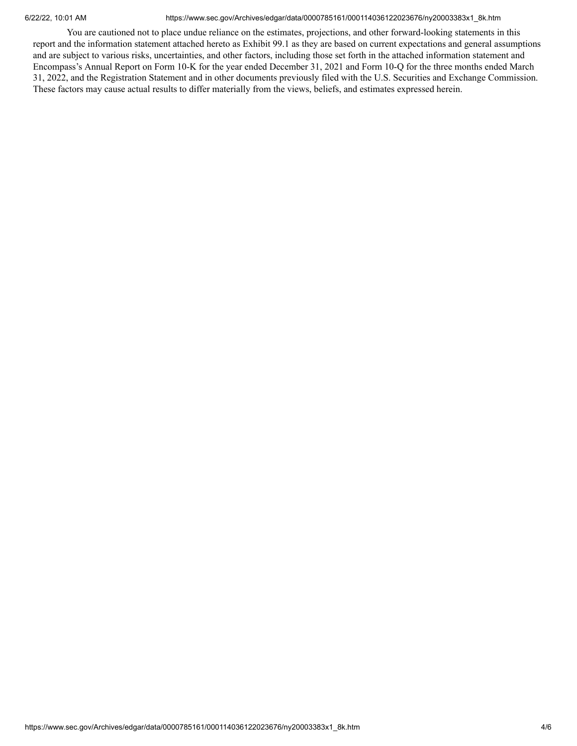### 6/22/22, 10:01 AM https://www.sec.gov/Archives/edgar/data/0000785161/000114036122023676/ny20003383x1\_8k.htm

You are cautioned not to place undue reliance on the estimates, projections, and other forward-looking statements in this report and the information statement attached hereto as Exhibit 99.1 as they are based on current expectations and general assumptions and are subject to various risks, uncertainties, and other factors, including those set forth in the attached information statement and Encompass's Annual Report on Form 10‑K for the year ended December 31, 2021 and Form 10‑Q for the three months ended March 31, 2022, and the Registration Statement and in other documents previously filed with the U.S. Securities and Exchange Commission. These factors may cause actual results to differ materially from the views, beliefs, and estimates expressed herein.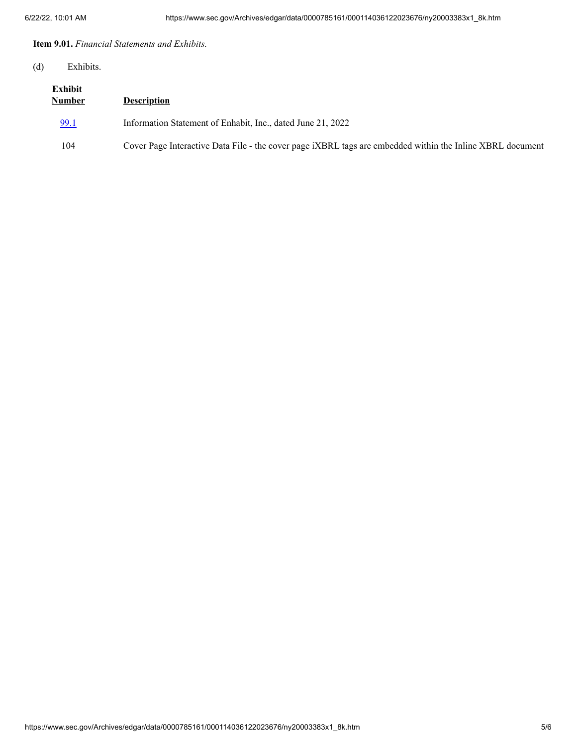**Item 9.01.** *Financial Statements and Exhibits.*

### (d) Exhibits.

| Exhibit<br><b>Number</b> | <b>Description</b>                                                                                        |
|--------------------------|-----------------------------------------------------------------------------------------------------------|
| 99.1                     | Information Statement of Enhabit, Inc., dated June 21, 2022                                               |
| 104                      | Cover Page Interactive Data File - the cover page iXBRL tags are embedded within the Inline XBRL document |